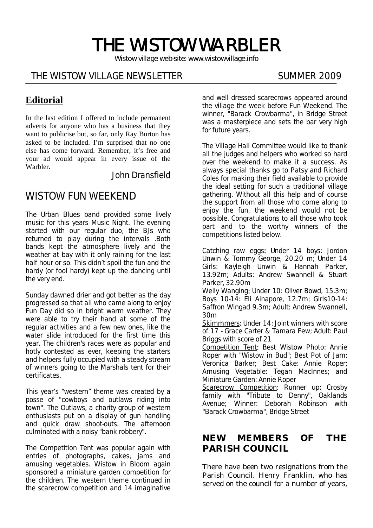# THE WISTOW WARBLER

*Wistow village web-site: www.wistowvillage.info* 

İ

# THE WISTOW VILLAGE NEWSLETTER SUMMER 2009

# **Editorial**

In the last edition I offered to include permanent adverts for anyone who has a business that they want to publicise but, so far, only Ray Burton has asked to be included. I'm surprised that no one else has come forward. Remember, it's free and your ad would appear in every issue of the Warbler.

#### John Dransfield

# WISTOW FUN WEEKEND

The Urban Blues band provided some lively music for this years Music Night. The evening started with our regular duo, the BJs who returned to play during the intervals .Both bands kept the atmosphere lively and the weather at bay with it only raining for the last half hour or so. This didn't spoil the fun and the hardy (or fool hardy) kept up the dancing until the very end.

Sunday dawned drier and got better as the day progressed so that all who came along to enjoy Fun Day did so in bright warm weather. They were able to try their hand at some of the regular activities and a few new ones, like the water slide introduced for the first time this year. The children's races were as popular and hotly contested as ever, keeping the starters and helpers fully occupied with a steady stream of winners going to the Marshals tent for their certificates.

This year's "western" theme was created by a posse of "cowboys and outlaws riding into town". The Outlaws, a charity group of western enthusiasts put on a display of gun handling and quick draw shoot-outs. The afternoon culminated with a noisy "bank robbery".

The Competition Tent was popular again with entries of photographs, cakes, jams and amusing vegetables. Wistow in Bloom again sponsored a miniature garden competition for the children. The western theme continued in the scarecrow competition and 14 imaginative and well dressed scarecrows appeared around the village the week before Fun Weekend. The winner, "Barack Crowbarma", in Bridge Street was a masterpiece and sets the bar very high for future years.

The Village Hall Committee would like to thank all the judges and helpers who worked so hard over the weekend to make it a success. As always special thanks go to Patsy and Richard Coles for making their field available to provide the ideal setting for such a traditional village gathering. Without all this help and of course the support from all those who come along to enjoy the fun, the weekend would not be possible. Congratulations to all those who took part and to the worthy winners of the competitions listed below.

Catching raw eggs: Under 14 boys: Jordon Unwin & Tommy George, 20.20 m; Under 14 Girls: Kayleigh Unwin & Hannah Parker, 13.92m; Adults: Andrew Swannell & Stuart Parker, 32.90m

Welly Wanging: Under 10: Oliver Bowd, 15.3m; Boys 10-14: Eli Ainapore, 12.7m; Girls10-14: Saffron Wingad 9.3m; Adult: Andrew Swannell, 30m

Skimmmers: Under 14: Joint winners with score of 17 - Grace Carter & Tamara Few; Adult: Paul Briggs with score of 21

Competition Tent: Best Wistow Photo: Annie Roper with "Wistow in Bud"; Best Pot of Jam: Veronica Barker; Best Cake: Annie Roper; Amusing Vegetable: Tegan MacInnes; and Miniature Garden: Annie Roper

Scarecrow Competition: Runner up: Crosby family with "Tribute to Denny", Oaklands Avenue; Winner: Deborah Robinson with "Barack Crowbarma", Bridge Street

#### **NEW MEMBERS OF THE PARISH COUNCIL**

There have been two resignations from the Parish Council. Henry Franklin, who has served on the council for a number of years,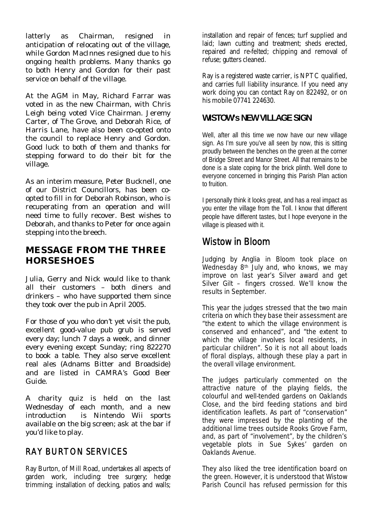latterly as Chairman, resigned in anticipation of relocating out of the village, while Gordon MacInnes resigned due to his ongoing health problems. Many thanks go to both Henry and Gordon for their past service on behalf of the village.

At the AGM in May, Richard Farrar was voted in as the new Chairman, with Chris Leigh being voted Vice Chairman. Jeremy Carter, of The Grove, and Deborah Rice, of Harris Lane, have also been co-opted onto the council to replace Henry and Gordon. Good luck to both of them and thanks for stepping forward to do their bit for the village.

As an interim measure, Peter Bucknell, one of our District Councillors, has been coopted to fill in for Deborah Robinson, who is recuperating from an operation and will need time to fully recover. Best wishes to Deborah, and thanks to Peter for once again stepping into the breech.

#### **MESSAGE FROM THE THREE HORSESHOES**

Julia, Gerry and Nick would like to thank all their customers – both diners and drinkers – who have supported them since they took over the pub in April 2005.

For those of you who don't yet visit the pub, excellent good-value pub grub is served every day; lunch 7 days a week, and dinner every evening except Sunday; ring 822270 to book a table. They also serve excellent real ales (Adnams Bitter and Broadside) and are listed in CAMRA's Good Beer Guide.

A charity quiz is held on the last Wednesday of each month, and a new introduction is Nintendo Wii sports available on the big screen; ask at the bar if you'd like to play.

#### RAY BURTON SERVICES

Ray Burton, of Mill Road, undertakes all aspects of garden work, including: tree surgery; hedge trimming; installation of decking, patios and walls;

installation and repair of fences; turf supplied and laid; lawn cutting and treatment; sheds erected, repaired and re-felted; chipping and removal of refuse; gutters cleaned.

Ray is a registered waste carrier, is NPTC qualified, and carries full liability insurance. If you need any work doing you can contact Ray on 822492, or on his mobile 07741 224630.

#### **WISTOW's NEW VILLAGE SIGN**

Well, after all this time we now have our new village sign. As I'm sure you've all seen by now, this is sitting proudly between the benches on the green at the corner of Bridge Street and Manor Street. All that remains to be done is a slate coping for the brick plinth. Well done to everyone concerned in bringing this Parish Plan action to fruition.

I personally think it looks great, and has a real impact as you enter the village from the Toll. I know that different people have different tastes, but I hope everyone in the village is pleased with it.

# Wistow in Bloom

Judging by Anglia in Bloom took place on Wednesday 8th July and, who knows, we may improve on last year's Silver award and get Silver Gilt – fingers crossed. We'll know the results in September.

This year the judges stressed that the two main criteria on which they base their assessment are "the extent to which the village environment is conserved and enhanced", and "the extent to which the village involves local residents, in particular children". So it is not all about loads of floral displays, although these play a part in the overall village environment.

The judges particularly commented on the attractive nature of the playing fields, the colourful and well-tended gardens on Oaklands Close, and the bird feeding stations and bird identification leaflets. As part of "conservation" they were impressed by the planting of the additional lime trees outside Rooks Grove Farm, and, as part of "involvement", by the children's vegetable plots in Sue Sykes' garden on Oaklands Avenue.

They also liked the tree identification board on the green. However, it is understood that Wistow Parish Council has refused permission for this